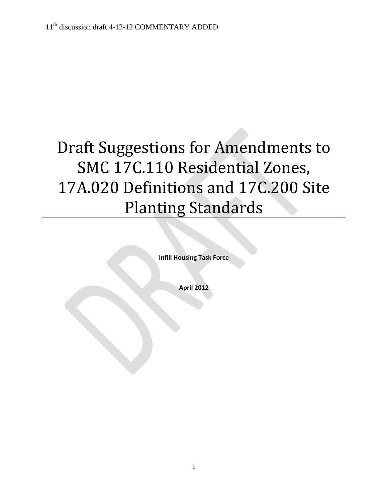# Draft Suggestions for Amendments to SMC 17C.110 Residential Zones, 17A.020 Definitions and 17C.200 Site Planting Standards

**Infill Housing Task Force**

**April 2012**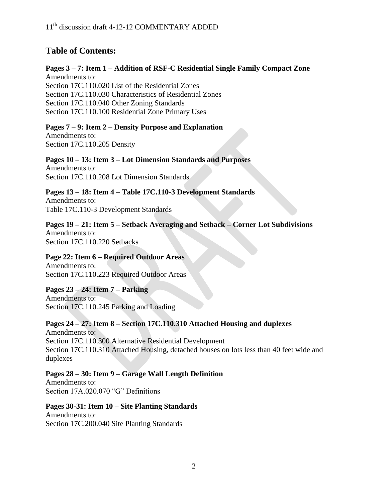# **Table of Contents:**

#### **Pages 3 – 7: Item 1 – Addition of RSF-C Residential Single Family Compact Zone** Amendments to: Section 17C.110.020 List of the Residential Zones Section 17C.110.030 Characteristics of Residential Zones Section 17C.110.040 Other Zoning Standards Section 17C.110.100 Residential Zone Primary Uses

#### **Pages 7 – 9: Item 2 – Density Purpose and Explanation**  Amendments to: Section 17C.110.205 Density

#### **Pages 10 – 13: Item 3 – Lot Dimension Standards and Purposes** Amendments to:

Section 17C.110.208 Lot Dimension Standards

**Pages 13 – 18: Item 4 – Table 17C.110-3 Development Standards**  Amendments to: Table 17C.110-3 Development Standards

## **Pages 19 – 21: Item 5 – Setback Averaging and Setback – Corner Lot Subdivisions**  Amendments to: Section 17C.110.220 Setbacks

#### **Page 22: Item 6 – Required Outdoor Areas**  Amendments to: Section 17C.110.223 Required Outdoor Areas

#### **Pages 23 – 24: Item 7 – Parking**  Amendments to: Section 17C.110.245 Parking and Loading

# **Pages 24 – 27: Item 8 – Section 17C.110.310 Attached Housing and duplexes**

Amendments to: Section 17C.110.300 Alternative Residential Development Section 17C.110.310 Attached Housing, detached houses on lots less than 40 feet wide and duplexes

# **Pages 28 – 30: Item 9 – Garage Wall Length Definition**

Amendments to: Section 17A.020.070 "G" Definitions

# **Pages 30-31: Item 10 – Site Planting Standards** Amendments to:

Section 17C.200.040 Site Planting Standards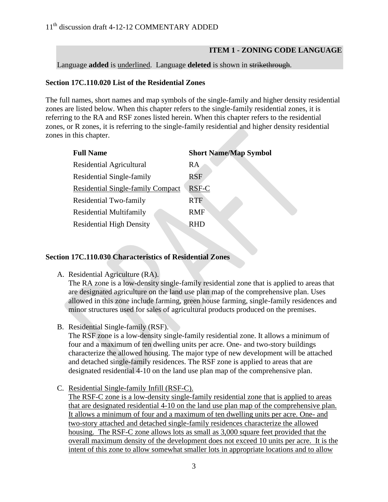## **ITEM 1 - ZONING CODE LANGUAGE**

Language **added** is underlined. Language **deleted** is shown in strikethrough.

## **Section 17C.110.020 List of the Residential Zones**

The full names, short names and map symbols of the single-family and higher density residential zones are listed below. When this chapter refers to the single-family residential zones, it is referring to the RA and RSF zones listed herein. When this chapter refers to the residential zones, or R zones, it is referring to the single-family residential and higher density residential zones in this chapter.

| <b>Full Name</b>                  | <b>Short Name/Map Symbol</b> |
|-----------------------------------|------------------------------|
| Residential Agricultural          | RA                           |
| Residential Single-family         | RSF                          |
| Residential Single-family Compact | RSF-C                        |
| Residential Two-family            | <b>RTF</b>                   |
| <b>Residential Multifamily</b>    | <b>RMF</b>                   |
| <b>Residential High Density</b>   | RHD                          |

## **Section 17C.110.030 Characteristics of Residential Zones**

A. Residential Agriculture (RA).

The RA zone is a low-density single-family residential zone that is applied to areas that are designated agriculture on the land use plan map of the comprehensive plan. Uses allowed in this zone include farming, green house farming, single-family residences and minor structures used for sales of agricultural products produced on the premises.

B. Residential Single-family (RSF).

The RSF zone is a low-density single-family residential zone. It allows a minimum of four and a maximum of ten dwelling units per acre. One- and two-story buildings characterize the allowed housing. The major type of new development will be attached and detached single-family residences. The RSF zone is applied to areas that are designated residential 4-10 on the land use plan map of the comprehensive plan.

C. Residential Single-family Infill (RSF-C).

The RSF-C zone is a low-density single-family residential zone that is applied to areas that are designated residential 4-10 on the land use plan map of the comprehensive plan. It allows a minimum of four and a maximum of ten dwelling units per acre. One- and two-story attached and detached single-family residences characterize the allowed housing. The RSF-C zone allows lots as small as 3,000 square feet provided that the overall maximum density of the development does not exceed 10 units per acre. It is the intent of this zone to allow somewhat smaller lots in appropriate locations and to allow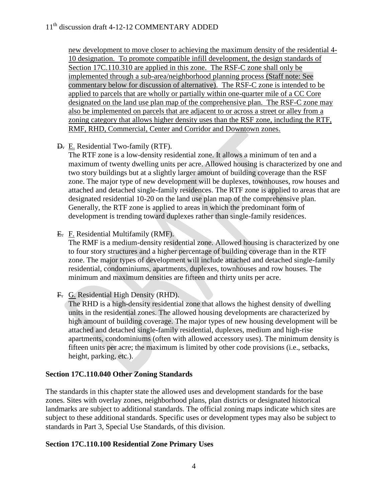new development to move closer to achieving the maximum density of the residential 4- 10 designation. To promote compatible infill development, the design standards of Section 17C.110.310 are applied in this zone. The RSF-C zone shall only be implemented through a sub-area/neighborhood planning process (Staff note: See commentary below for discussion of alternative). The RSF-C zone is intended to be applied to parcels that are wholly or partially within one-quarter mile of a CC Core designated on the land use plan map of the comprehensive plan. The RSF-C zone may also be implemented on parcels that are adjacent to or across a street or alley from a zoning category that allows higher density uses than the RSF zone, including the RTF, RMF, RHD, Commercial, Center and Corridor and Downtown zones.

## D. E. Residential Two-family (RTF).

The RTF zone is a low-density residential zone. It allows a minimum of ten and a maximum of twenty dwelling units per acre. Allowed housing is characterized by one and two story buildings but at a slightly larger amount of building coverage than the RSF zone. The major type of new development will be duplexes, townhouses, row houses and attached and detached single-family residences. The RTF zone is applied to areas that are designated residential 10-20 on the land use plan map of the comprehensive plan. Generally, the RTF zone is applied to areas in which the predominant form of development is trending toward duplexes rather than single-family residences.

## E. F. Residential Multifamily (RMF).

The RMF is a medium-density residential zone. Allowed housing is characterized by one to four story structures and a higher percentage of building coverage than in the RTF zone. The major types of development will include attached and detached single-family residential, condominiums, apartments, duplexes, townhouses and row houses. The minimum and maximum densities are fifteen and thirty units per acre.

## F. G. Residential High Density (RHD).

The RHD is a high-density residential zone that allows the highest density of dwelling units in the residential zones. The allowed housing developments are characterized by high amount of building coverage. The major types of new housing development will be attached and detached single-family residential, duplexes, medium and high-rise apartments, condominiums (often with allowed accessory uses). The minimum density is fifteen units per acre; the maximum is limited by other code provisions (i.e., setbacks, height, parking, etc.).

#### **Section 17C.110.040 Other Zoning Standards**

The standards in this chapter state the allowed uses and development standards for the base zones. Sites with overlay zones, neighborhood plans, plan districts or designated historical landmarks are subject to additional standards. The official zoning maps indicate which sites are subject to these additional standards. Specific uses or development types may also be subject to standards in Part 3, Special Use Standards, of this division.

## **Section 17C.110.100 Residential Zone Primary Uses**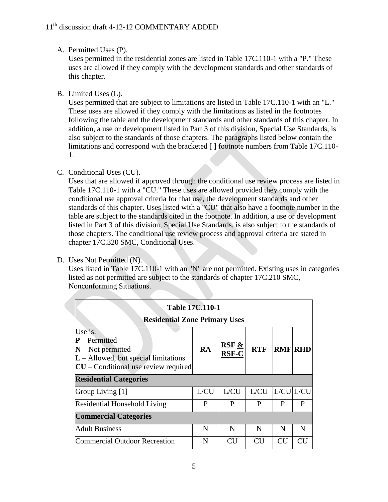#### A. Permitted Uses (P).

Uses permitted in the residential zones are listed in Table 17C.110-1 with a "P." These uses are allowed if they comply with the development standards and other standards of this chapter.

B. Limited Uses (L).

Uses permitted that are subject to limitations are listed in Table 17C.110-1 with an "L." These uses are allowed if they comply with the limitations as listed in the footnotes following the table and the development standards and other standards of this chapter. In addition, a use or development listed in Part 3 of this division, Special Use Standards, is also subject to the standards of those chapters. The paragraphs listed below contain the limitations and correspond with the bracketed [ ] footnote numbers from Table 17C.110- 1.

## C. Conditional Uses (CU).

Uses that are allowed if approved through the conditional use review process are listed in Table 17C.110-1 with a "CU." These uses are allowed provided they comply with the conditional use approval criteria for that use, the development standards and other standards of this chapter. Uses listed with a "CU" that also have a footnote number in the table are subject to the standards cited in the footnote. In addition, a use or development listed in Part 3 of this division, Special Use Standards, is also subject to the standards of those chapters. The conditional use review process and approval criteria are stated in chapter 17C.320 SMC, Conditional Uses.

| D. Uses Not Permitted (N). |  |  |
|----------------------------|--|--|
|                            |  |  |

Uses listed in Table 17C.110-1 with an "N" are not permitted. Existing uses in categories listed as not permitted are subject to the standards of chapter 17C.210 SMC, Nonconforming Situations.

| <b>Table 17C.110-1</b><br><b>Residential Zone Primary Uses</b>                                                                        |      |                                      |            |           |                |  |  |  |
|---------------------------------------------------------------------------------------------------------------------------------------|------|--------------------------------------|------------|-----------|----------------|--|--|--|
| Use is:<br>$P$ – Permitted<br>$N$ – Not permitted<br>$L -$ Allowed, but special limitations<br>$CU$ – Conditional use review required | RA   | RSF $\underline{\&}$<br><b>RSF-C</b> | <b>RTF</b> |           | <b>RMF RHD</b> |  |  |  |
| <b>Residential Categories</b>                                                                                                         |      |                                      |            |           |                |  |  |  |
| Group Living [1]                                                                                                                      | L/CU | L/CU                                 | L/CU       | L/CU L/CU |                |  |  |  |
| <b>Residential Household Living</b>                                                                                                   | P    | P                                    | P          | P         | P              |  |  |  |
| <b>Commercial Categories</b>                                                                                                          |      |                                      |            |           |                |  |  |  |
| <b>Adult Business</b>                                                                                                                 | N    | N                                    | N          | N         | N              |  |  |  |
| <b>Commercial Outdoor Recreation</b>                                                                                                  | N    | CU                                   | CU         | <b>CU</b> |                |  |  |  |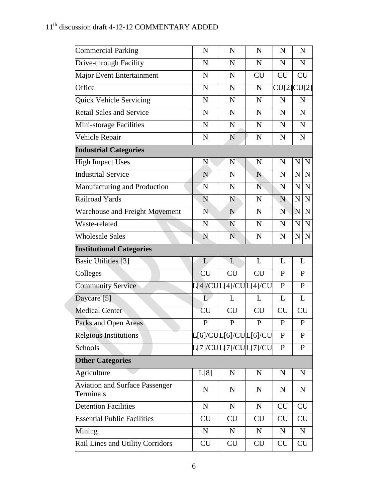| <b>Commercial Parking</b>                          | $\mathbf N$           | N           | N            | $\mathbf N$  | N                          |
|----------------------------------------------------|-----------------------|-------------|--------------|--------------|----------------------------|
| Drive-through Facility                             | $\mathbf N$           | $\mathbf N$ | $\mathbf N$  | $\mathbf N$  | ${\bf N}$                  |
| Major Event Entertainment                          | $\mathbf N$           | $\mathbf N$ | <b>CU</b>    | CU           | <b>CU</b>                  |
| Office                                             | $\mathbf N$           | $\mathbf N$ | N            |              | CU[2]CU[2]                 |
| Quick Vehicle Servicing                            | $\mathbf N$           | $\mathbf N$ | $\mathbf N$  | $\mathbf N$  | $\mathbf N$                |
| <b>Retail Sales and Service</b>                    | ${\bf N}$             | $\mathbf N$ | $\mathbf N$  | ${\bf N}$    | ${\bf N}$                  |
| Mini-storage Facilities                            | $\mathbf N$           | $\mathbf N$ | $\mathbf N$  | $\mathbf N$  | ${\bf N}$                  |
| Vehicle Repair                                     | $\mathbf N$           | N           | ${\bf N}$    | $\mathbf N$  | $\mathbf N$                |
| <b>Industrial Categories</b>                       |                       |             |              |              |                            |
| <b>High Impact Uses</b>                            | ${\bf N}$             | N           | N            | $\mathbf N$  | $\mathbf N$<br>N           |
| <b>Industrial Service</b>                          | N                     | $\mathbf N$ | N            | $\mathbf N$  | $\mathbf N$<br>$\mathbf N$ |
| Manufacturing and Production                       | ${\bf N}$             | $\mathbf N$ | N            | $\mathbf N$  | $\mathbf N$<br>N           |
| Railroad Yards                                     | N                     | N           | $\mathbf N$  | N            | $\mathbf N$<br>$\mathbf N$ |
| <b>Warehouse and Freight Movement</b>              | N                     | N           | $\mathbf N$  | N            | N<br>$\mathbf N$           |
| Waste-related                                      | $\mathbf N$           | N           | $\mathbf N$  | $\mathbf N$  | ${\bf N}$<br>$\mathbf N$   |
| <b>Wholesale Sales</b>                             | N                     | N           | $\mathbf N$  | N            | $\mathbf N$<br>$\mathbf N$ |
| <b>Institutional Categories</b>                    |                       |             |              |              |                            |
| <b>Basic Utilities</b> [3]                         | L                     | L           | L            | L            | L                          |
| Colleges                                           | <b>CU</b>             | <b>CU</b>   | <b>CU</b>    | $\mathbf{P}$ | P                          |
| <b>Community Service</b>                           | L[4]/CUL[4]/CUL[4]/CU |             |              | $\mathbf{P}$ | $\mathbf{P}$               |
| Daycare [5]                                        | L                     | L           | L            | L            | $\mathbf L$                |
| Medical Center                                     | <b>CU</b>             | CU          | CU           | <b>CU</b>    | <b>CU</b>                  |
| Parks and Open Areas                               | ${\bf P}$             | ${\bf P}$   | $\mathbf{P}$ | $\mathbf P$  | ${\bf P}$                  |
| <b>Relgious Institutions</b>                       | L[6]/CUL[6]/CUL[6]/CU |             |              | $\mathbf{P}$ | $\mathbf{P}$               |
| Schools                                            | L[7]/CUL[7]/CUL[7]/CU |             |              | $\mathbf{P}$ | $\mathbf P$                |
| <b>Other Categories</b>                            |                       |             |              |              |                            |
| Agriculture                                        | L[8]                  | $\mathbf N$ | $\mathbf N$  | ${\bf N}$    | $\mathbf N$                |
| <b>Aviation and Surface Passenger</b><br>Terminals | $\mathbf N$           | ${\bf N}$   | $\mathbf N$  | N            | $\mathbf N$                |
| <b>Detention Facilities</b>                        | ${\bf N}$             | ${\bf N}$   | ${\bf N}$    | <b>CU</b>    | <b>CU</b>                  |
| <b>Essential Public Facilities</b>                 | <b>CU</b>             | <b>CU</b>   | CU           | <b>CU</b>    | <b>CU</b>                  |
| Mining                                             | $\mathbf N$           | $\mathbf N$ | $\mathbf N$  | $\mathbf N$  | $\mathbf N$                |
| Rail Lines and Utility Corridors                   | <b>CU</b>             | <b>CU</b>   | <b>CU</b>    | <b>CU</b>    | <b>CU</b>                  |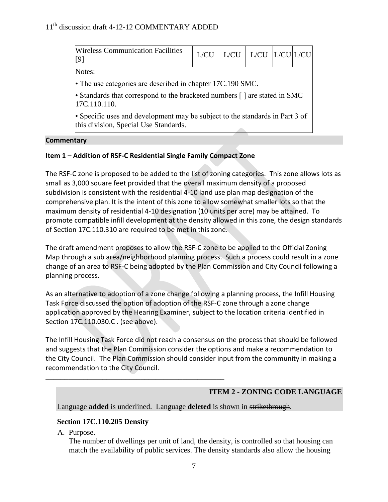| <b>Wireless Communication Facilities</b><br>[9]                                                                       | L/CU |  | $L/CU$   $L/CU$   $L/CU$   $L/CU$ |  |  |  |  |
|-----------------------------------------------------------------------------------------------------------------------|------|--|-----------------------------------|--|--|--|--|
| Notes:                                                                                                                |      |  |                                   |  |  |  |  |
| • The use categories are described in chapter $17C.190$ SMC.                                                          |      |  |                                   |  |  |  |  |
| • Standards that correspond to the bracketed numbers [] are stated in SMC<br> 17C.110.110.                            |      |  |                                   |  |  |  |  |
| • Specific uses and development may be subject to the standards in Part 3 of<br>this division, Special Use Standards. |      |  |                                   |  |  |  |  |

#### **Commentary**

## **Item 1 – Addition of RSF-C Residential Single Family Compact Zone**

The RSF-C zone is proposed to be added to the list of zoning categories. This zone allows lots as small as 3,000 square feet provided that the overall maximum density of a proposed subdivision is consistent with the residential 4-10 land use plan map designation of the comprehensive plan. It is the intent of this zone to allow somewhat smaller lots so that the maximum density of residential 4-10 designation (10 units per acre) may be attained. To promote compatible infill development at the density allowed in this zone, the design standards of Section 17C.110.310 are required to be met in this zone.

The draft amendment proposes to allow the RSF-C zone to be applied to the Official Zoning Map through a sub area/neighborhood planning process. Such a process could result in a zone change of an area to RSF-C being adopted by the Plan Commission and City Council following a planning process.

As an alternative to adoption of a zone change following a planning process, the Infill Housing Task Force discussed the option of adoption of the RSF-C zone through a zone change application approved by the Hearing Examiner, subject to the location criteria identified in Section 17C.110.030.C . (see above).

The Infill Housing Task Force did not reach a consensus on the process that should be followed and suggests that the Plan Commission consider the options and make a recommendation to the City Council. The Plan Commission should consider input from the community in making a recommendation to the City Council.

## **ITEM 2 - ZONING CODE LANGUAGE**

Language **added** is underlined. Language **deleted** is shown in strikethrough.

## **Section 17C.110.205 Density**

\_\_\_\_\_\_\_\_\_\_\_\_\_\_\_\_\_\_\_\_\_\_\_\_\_\_\_\_\_\_\_\_\_\_\_\_\_\_\_\_\_\_\_\_\_\_\_

A. Purpose.

The number of dwellings per unit of land, the density, is controlled so that housing can match the availability of public services. The density standards also allow the housing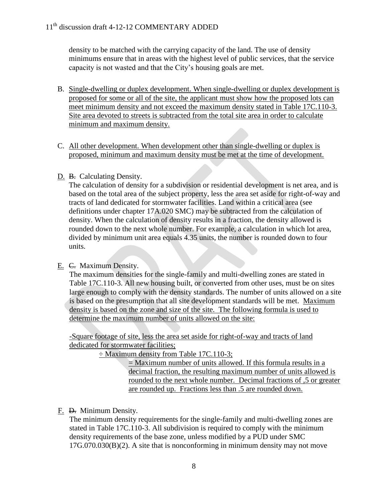density to be matched with the carrying capacity of the land. The use of density minimums ensure that in areas with the highest level of public services, that the service capacity is not wasted and that the City's housing goals are met.

- B. Single-dwelling or duplex development. When single-dwelling or duplex development is proposed for some or all of the site, the applicant must show how the proposed lots can meet minimum density and not exceed the maximum density stated in Table 17C.110-3. Site area devoted to streets is subtracted from the total site area in order to calculate minimum and maximum density.
- C. All other development. When development other than single-dwelling or duplex is proposed, minimum and maximum density must be met at the time of development.

## D. B. Calculating Density.

The calculation of density for a subdivision or residential development is net area, and is based on the total area of the subject property, less the area set aside for right-of-way and tracts of land dedicated for stormwater facilities. Land within a critical area (see definitions under chapter 17A.020 SMC) may be subtracted from the calculation of density. When the calculation of density results in a fraction, the density allowed is rounded down to the next whole number. For example, a calculation in which lot area, divided by minimum unit area equals 4.35 units, the number is rounded down to four units.

## E. C. Maximum Density.

The maximum densities for the single-family and multi-dwelling zones are stated in Table 17C.110-3. All new housing built, or converted from other uses, must be on sites large enough to comply with the density standards. The number of units allowed on a site is based on the presumption that all site development standards will be met. Maximum density is based on the zone and size of the site. The following formula is used to determine the maximum number of units allowed on the site:

-Square footage of site, less the area set aside for right-of-way and tracts of land dedicated for stormwater facilities;

÷ Maximum density from Table 17C.110-3;

 $=$  Maximum number of units allowed. If this formula results in a decimal fraction, the resulting maximum number of units allowed is rounded to the next whole number. Decimal fractions of ,5 or greater are rounded up. Fractions less than .5 are rounded down.

## F. D. Minimum Density.

The minimum density requirements for the single-family and multi-dwelling zones are stated in Table 17C.110-3. All subdivision is required to comply with the minimum density requirements of the base zone, unless modified by a PUD under SMC 17G.070.030(B)(2). A site that is nonconforming in minimum density may not move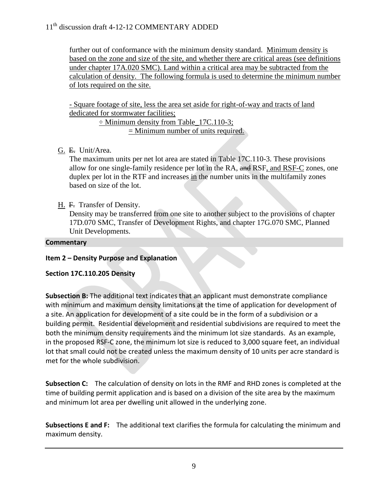further out of conformance with the minimum density standard. Minimum density is based on the zone and size of the site, and whether there are critical areas (see definitions under chapter 17A.020 SMC). Land within a critical area may be subtracted from the calculation of density. The following formula is used to determine the minimum number of lots required on the site.

- Square footage of site, less the area set aside for right-of-way and tracts of land dedicated for stormwater facilities;

> ÷ Minimum density from Table\_17C.110-3; = Minimum number of units required.

G. E. Unit/Area.

The maximum units per net lot area are stated in Table 17C.110-3. These provisions allow for one single-family residence per lot in the RA, and RSF, and RSF-C zones, one duplex per lot in the RTF and increases in the number units in the multifamily zones based on size of the lot.

H. F. Transfer of Density.

Density may be transferred from one site to another subject to the provisions of chapter 17D.070 SMC, Transfer of Development Rights, and chapter 17G.070 SMC, Planned Unit Developments.

# **Commentary**

## **Item 2 – Density Purpose and Explanation**

## **Section 17C.110.205 Density**

**Subsection B:** The additional text indicates that an applicant must demonstrate compliance with minimum and maximum density limitations at the time of application for development of a site. An application for development of a site could be in the form of a subdivision or a building permit. Residential development and residential subdivisions are required to meet the both the minimum density requirements and the minimum lot size standards. As an example, in the proposed RSF-C zone, the minimum lot size is reduced to 3,000 square feet, an individual lot that small could not be created unless the maximum density of 10 units per acre standard is met for the whole subdivision.

**Subsection C:** The calculation of density on lots in the RMF and RHD zones is completed at the time of building permit application and is based on a division of the site area by the maximum and minimum lot area per dwelling unit allowed in the underlying zone.

**Subsections E and F:** The additional text clarifies the formula for calculating the minimum and maximum density.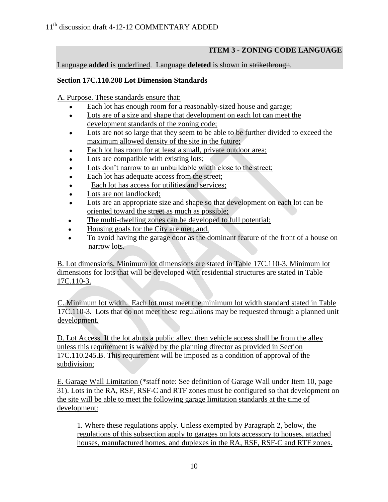# **ITEM 3 - ZONING CODE LANGUAGE**

Language **added** is underlined. Language **deleted** is shown in strikethrough.

## **Section 17C.110.208 Lot Dimension Standards**

A. Purpose. These standards ensure that:

- Each lot has enough room for a reasonably-sized house and garage;
- Lots are of a size and shape that development on each lot can meet the  $\bullet$ development standards of the zoning code;
- Lots are not so large that they seem to be able to be further divided to exceed the  $\bullet$ maximum allowed density of the site in the future;
- Each lot has room for at least a small, private outdoor area;
- Lots are compatible with existing lots;  $\bullet$
- Lots don't narrow to an unbuildable width close to the street;
- Each lot has adequate access from the street;  $\bullet$
- Each lot has access for utilities and services;
- Lots are not landlocked;  $\bullet$
- Lots are an appropriate size and shape so that development on each lot can be oriented toward the street as much as possible;
- The multi-dwelling zones can be developed to full potential;
- Housing goals for the City are met; and,
- To avoid having the garage door as the dominant feature of the front of a house on  $\bullet$ narrow lots.

B. Lot dimensions. Minimum lot dimensions are stated in Table 17C.110-3. Minimum lot dimensions for lots that will be developed with residential structures are stated in Table 17C.110-3.

C. Minimum lot width. Each lot must meet the minimum lot width standard stated in Table 17C.110-3. Lots that do not meet these regulations may be requested through a planned unit development.

D. Lot Access. If the lot abuts a public alley, then vehicle access shall be from the alley unless this requirement is waived by the planning director as provided in Section 17C.110.245.B. This requirement will be imposed as a condition of approval of the subdivision;

E. Garage Wall Limitation (\*staff note: See definition of Garage Wall under Item 10, page 31). Lots in the RA, RSF, RSF-C and RTF zones must be configured so that development on the site will be able to meet the following garage limitation standards at the time of development:

1. Where these regulations apply. Unless exempted by Paragraph 2, below, the regulations of this subsection apply to garages on lots accessory to houses, attached houses, manufactured homes, and duplexes in the RA, RSF, RSF-C and RTF zones.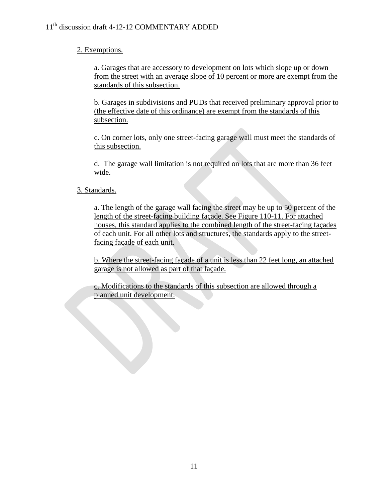## 2. Exemptions.

a. Garages that are accessory to development on lots which slope up or down from the street with an average slope of 10 percent or more are exempt from the standards of this subsection.

b. Garages in subdivisions and PUDs that received preliminary approval prior to (the effective date of this ordinance) are exempt from the standards of this subsection.

c. On corner lots, only one street-facing garage wall must meet the standards of this subsection.

d. The garage wall limitation is not required on lots that are more than 36 feet wide.

## 3. Standards.

a. The length of the garage wall facing the street may be up to 50 percent of the length of the street-facing building façade. See Figure 110-11. For attached houses, this standard applies to the combined length of the street-facing façades of each unit. For all other lots and structures, the standards apply to the streetfacing façade of each unit.

b. Where the street-facing façade of a unit is less than 22 feet long, an attached garage is not allowed as part of that façade.

c. Modifications to the standards of this subsection are allowed through a planned unit development.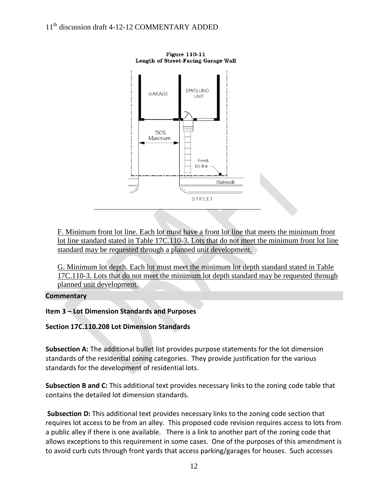

**Figure 110-11** Length of Street-Facing Garage Wall

F. Minimum front lot line. Each lot must have a front lot line that meets the minimum front lot line standard stated in Table 17C.110-3. Lots that do not meet the minimum front lot line standard may be requested through a planned unit development.

G. Minimum lot depth. Each lot must meet the minimum lot depth standard stated in Table 17C.110-3. Lots that do not meet the minimum lot depth standard may be requested through planned unit development.

## **Commentary**

## **Item 3 – Lot Dimension Standards and Purposes**

## **Section 17C.110.208 Lot Dimension Standards**

**Subsection A:** The additional bullet list provides purpose statements for the lot dimension standards of the residential zoning categories. They provide justification for the various standards for the development of residential lots.

**Subsection B and C:** This additional text provides necessary links to the zoning code table that contains the detailed lot dimension standards.

**Subsection D:** This additional text provides necessary links to the zoning code section that requires lot access to be from an alley. This proposed code revision requires access to lots from a public alley if there is one available. There is a link to another part of the zoning code that allows exceptions to this requirement in some cases. One of the purposes of this amendment is to avoid curb cuts through front yards that access parking/garages for houses. Such accesses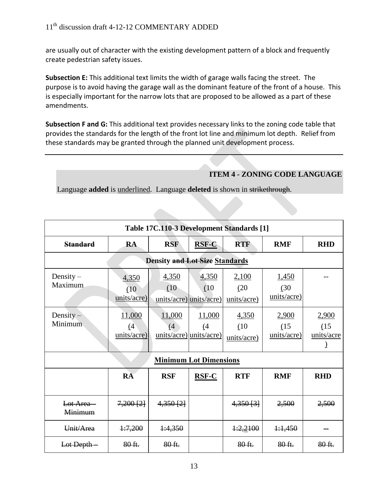are usually out of character with the existing development pattern of a block and frequently create pedestrian safety issues.

**Subsection E:** This additional text limits the width of garage walls facing the street. The purpose is to avoid having the garage wall as the dominant feature of the front of a house. This is especially important for the narrow lots that are proposed to be allowed as a part of these amendments.

**Subsection F and G:** This additional text provides necessary links to the zoning code table that provides the standards for the length of the front lot line and minimum lot depth. Relief from these standards may be granted through the planned unit development process.

# **ITEM 4 - ZONING CODE LANGUAGE**

Language **added** is underlined. Language **deleted** is shown in strikethrough.

| Table 17C.110-3 Development Standards [1] |                              |                                          |               |                              |                              |                             |  |
|-------------------------------------------|------------------------------|------------------------------------------|---------------|------------------------------|------------------------------|-----------------------------|--|
| <b>Standard</b>                           | <b>RA</b>                    | <b>RSF</b>                               | <b>RSF-C</b>  | <b>RTF</b>                   | <b>RMF</b>                   | <b>RHD</b>                  |  |
| <b>Density and Lot Size Standards</b>     |                              |                                          |               |                              |                              |                             |  |
| Density $-$<br>Maximum                    | 4,350<br>(10)<br>units/acre) | 4,350<br>(10)<br>units/acre) units/acre) | 4,350<br>(10) | 2,100<br>(20)<br>units/acre) | 1,450<br>(30)<br>units/acre) |                             |  |
| Density $-$<br>Minimum                    | 11,000<br>(4)<br>units/acre) | 11,000<br>(4)<br>units/acre) units/acre) | 11,000<br>(4) | 4,350<br>(10)<br>units/acre) | 2,900<br>(15)<br>units/acre) | 2,900<br>(15)<br>units/acre |  |
|                                           |                              | <b>Minimum Lot Dimensions</b>            |               |                              |                              |                             |  |
|                                           | <b>R</b> A                   | <b>RSF</b>                               | $RSF-C$       | <b>RTF</b>                   | <b>RMF</b>                   | <b>RHD</b>                  |  |
| Lot Area-<br>Minimum                      | $7,200$ $[2]$                | 4,350[2]                                 |               | $4,350$ $[3]$                | 2,500                        | 2,500                       |  |
| Unit/Area                                 | 1:7,200                      | 4:4,350                                  |               | 1:2,2100                     | 1:1,450                      |                             |  |
| Lot Depth-                                | 80 ft.                       | 80 ft.                                   |               | 80 ft.                       | 80 ft.                       | 80 ft.                      |  |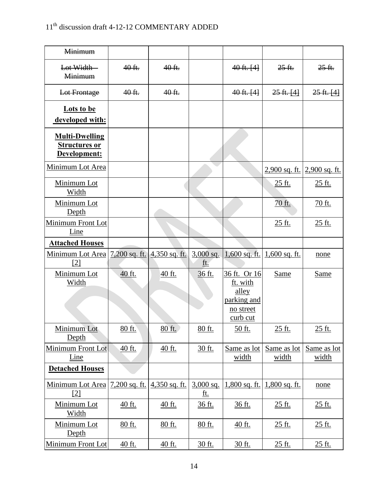| <b>Minimum</b>                                                |                 |               |                           |                                                                           |                                 |                      |
|---------------------------------------------------------------|-----------------|---------------|---------------------------|---------------------------------------------------------------------------|---------------------------------|----------------------|
| Lot Width-<br><b>Minimum</b>                                  | 40 ft.          | 40 ft.        |                           | $40$ ft. $[4]$                                                            | $25$ ft.                        | $25 - ft.$           |
| Lot Frontage                                                  | 40 ft.          | 40 ft.        |                           | $40$ ft. $[4]$                                                            | $25ft.$ [4]                     | 25ft. [4]            |
| <b>Lots to be</b><br>developed with:                          |                 |               |                           |                                                                           |                                 |                      |
| <b>Multi-Dwelling</b><br><b>Structures or</b><br>Development: |                 |               |                           |                                                                           |                                 |                      |
| Minimum Lot Area                                              |                 |               |                           |                                                                           | <u>2,900 sq. ft.</u>            | 2,900 sq. ft.        |
| Minimum Lot<br>Width                                          |                 |               |                           |                                                                           | 25 ft.                          | 25 ft.               |
| Minimum Lot<br>Depth                                          |                 |               |                           |                                                                           | 70 ft.                          | 70 ft.               |
| Minimum Front Lot<br>Line                                     |                 |               |                           |                                                                           | 25 ft.                          | <u>25 ft.</u>        |
| <b>Attached Houses</b>                                        |                 |               |                           |                                                                           |                                 |                      |
| <u>Minimum Lot Area 7,200 sq. ft. 4,350 sq. ft.</u><br>[2]    |                 |               | $3,000$ sq.<br>ft.        |                                                                           | $1,600$ sq. ft. $1,600$ sq. ft. | none                 |
| Minimum Lot<br>Width                                          | 40 ft.          | $40$ ft.      | 36 ft.                    | 36 ft. Or 16<br>ft. with<br>alley<br>parking and<br>no street<br>curb cut | Same                            | Same                 |
| Minimum Lot<br>Depth                                          | 80 ft.          | 80 ft.        | 80 ft.                    | 50 ft.                                                                    | 25 ft.                          | 25 ft.               |
| Minimum Front Lot<br>Line                                     | 40 ft.          | 40 ft.        | 30 ft.                    | Same as lot<br>width                                                      | Same as lot<br>width            | Same as lot<br>width |
| <b>Detached Houses</b>                                        |                 |               |                           |                                                                           |                                 |                      |
| Minimum Lot Area<br>[2]                                       | $7,200$ sq. ft. | 4,350 sq. ft. | $3,000$ sq.<br><u>ft.</u> | 1,800 sq. ft.                                                             | $1,800$ sq. ft.                 | none                 |
| Minimum Lot<br><b>Width</b>                                   | 40 ft.          | 40 ft.        | 36 ft.                    | 36 ft.                                                                    | 25 ft.                          | 25 ft.               |
| Minimum Lot<br>Depth                                          | 80 ft.          | 80 ft.        | 80 ft.                    | 40 ft.                                                                    | <u>25 ft.</u>                   | <u>25 ft.</u>        |
| <b>Minimum Front Lot</b>                                      | 40 ft.          | 40 ft.        | 30 ft.                    | 30 ft.                                                                    | 25 ft.                          | 25 ft.               |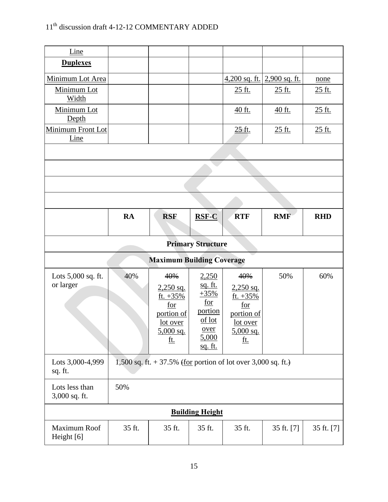| Line                            |                          |                                                                  |                          |                   |                                                       |            |  |  |
|---------------------------------|--------------------------|------------------------------------------------------------------|--------------------------|-------------------|-------------------------------------------------------|------------|--|--|
| <b>Duplexes</b>                 |                          |                                                                  |                          |                   |                                                       |            |  |  |
| Minimum Lot Area                |                          |                                                                  |                          |                   | $\frac{4,200 \text{ sq. ft.}}{2,900 \text{ sq. ft.}}$ | none       |  |  |
| Minimum Lot<br>Width            |                          |                                                                  |                          | 25 ft.            | <u>25 ft.</u>                                         | 25 ft.     |  |  |
| Minimum Lot<br>Depth            |                          |                                                                  |                          | 40 ft.            | 40 ft.                                                | 25 ft.     |  |  |
| Minimum Front Lot<br>Line       |                          |                                                                  |                          | 25 ft.            | 25 ft.                                                | 25 ft.     |  |  |
|                                 |                          |                                                                  |                          |                   |                                                       |            |  |  |
|                                 |                          |                                                                  |                          |                   |                                                       |            |  |  |
|                                 |                          |                                                                  |                          |                   |                                                       |            |  |  |
|                                 |                          |                                                                  |                          |                   |                                                       |            |  |  |
|                                 | <b>RA</b>                | <b>RSF</b>                                                       | <b>RSF-C</b>             | <b>RTF</b>        | <b>RMF</b>                                            | <b>RHD</b> |  |  |
|                                 |                          |                                                                  |                          |                   |                                                       |            |  |  |
|                                 | <b>Primary Structure</b> |                                                                  |                          |                   |                                                       |            |  |  |
|                                 |                          | <b>Maximum Building Coverage</b>                                 |                          |                   |                                                       |            |  |  |
| Lots 5,000 sq. ft.              | 40%                      | 40%                                                              | 2,250                    | 40%               | 50%                                                   | 60%        |  |  |
| or larger                       |                          | $2,250$ sq.                                                      | <u>sq. ft.</u><br>$+35%$ | $2,250$ sq.       |                                                       |            |  |  |
|                                 |                          | ft. $+35%$<br>for                                                | $\underline{\text{for}}$ | ft. $+35%$<br>for |                                                       |            |  |  |
|                                 |                          | portion of                                                       | portion                  | portion of        |                                                       |            |  |  |
|                                 |                          | lot over                                                         | of lot                   | lot over          |                                                       |            |  |  |
|                                 |                          | $5,000$ sq.                                                      | <u>over</u><br>5,000     | $5,000$ sq.       |                                                       |            |  |  |
|                                 |                          | <u>ft.</u>                                                       | <u>sq. ft.</u>           | <u>ft.</u>        |                                                       |            |  |  |
| Lots 3,000-4,999<br>sq. ft.     |                          | 1,500 sq. ft. $+ 37.5\%$ (for portion of lot over 3,000 sq. ft.) |                          |                   |                                                       |            |  |  |
| Lots less than<br>3,000 sq. ft. | 50%                      |                                                                  |                          |                   |                                                       |            |  |  |
|                                 |                          |                                                                  | <b>Building Height</b>   |                   |                                                       |            |  |  |
| Maximum Roof<br>Height [6]      | 35 ft.                   | 35 ft.                                                           | 35 ft.                   | 35 ft.            | 35 ft. [7]                                            | 35 ft. [7] |  |  |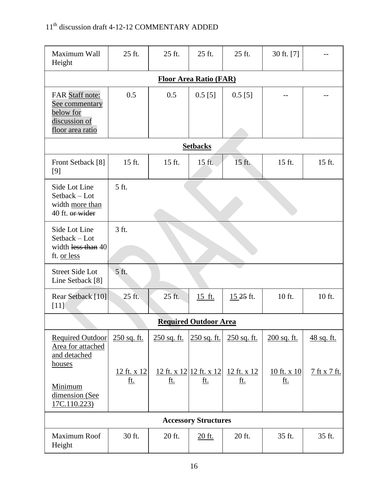| Maximum Wall<br>Height                                                              | 25 ft.                        | 25 ft.      | 25 ft.                                | 25 ft.                    | 30 ft. [7]                |              |  |  |  |
|-------------------------------------------------------------------------------------|-------------------------------|-------------|---------------------------------------|---------------------------|---------------------------|--------------|--|--|--|
|                                                                                     | <b>Floor Area Ratio (FAR)</b> |             |                                       |                           |                           |              |  |  |  |
| FAR Staff note:<br>See commentary<br>below for<br>discussion of<br>floor area ratio | 0.5                           | 0.5         | $0.5$ [5]                             | $0.5$ [5]                 |                           |              |  |  |  |
|                                                                                     | <b>Setbacks</b>               |             |                                       |                           |                           |              |  |  |  |
| Front Setback [8]<br>[9]                                                            | 15 ft.                        | 15 ft.      | 15 ft.                                | 15 ft.                    | 15 ft.                    | 15 ft.       |  |  |  |
| Side Lot Line<br>Setback - Lot<br>width more than<br>40 ft. or wider                | 5 ft.                         |             |                                       |                           |                           |              |  |  |  |
| Side Lot Line<br>Setback - Lot<br>width less than 40<br>ft. or less                 | 3 ft.                         |             |                                       |                           |                           |              |  |  |  |
| <b>Street Side Lot</b><br>Line Setback [8]                                          | 5 ft.                         |             |                                       |                           |                           |              |  |  |  |
| Rear Setback [10]<br>$[11]$                                                         | 25 ft.                        | 25 ft.      | 15 ft.                                | 15.25 ft.                 | 10 ft.                    | 10 ft.       |  |  |  |
|                                                                                     |                               |             | <b>Required Outdoor Area</b>          |                           |                           |              |  |  |  |
| <b>Required Outdoor</b><br>Area for attached<br>and detached                        | 250 sq. ft.                   | 250 sq. ft. | 250 sq. ft.                           | 250 sq. ft.               | 200 sq. ft.               | 48 sq. ft.   |  |  |  |
| houses<br>Minimum<br>dimension (See<br>17C.110.223)                                 | 12 ft. x 12<br><u>ft.</u>     | <u>ft.</u>  | 12 ft. x 12 12 ft. x 12<br><u>ft.</u> | 12 ft. x 12<br><u>ft.</u> | 10 ft. x 10<br><u>ft.</u> | 7 ft x 7 ft. |  |  |  |
|                                                                                     |                               |             | <b>Accessory Structures</b>           |                           |                           |              |  |  |  |
| Maximum Roof<br>Height                                                              | 30 ft.                        | 20 ft.      | 20 ft.                                | 20 ft.                    | 35 ft.                    | 35 ft.       |  |  |  |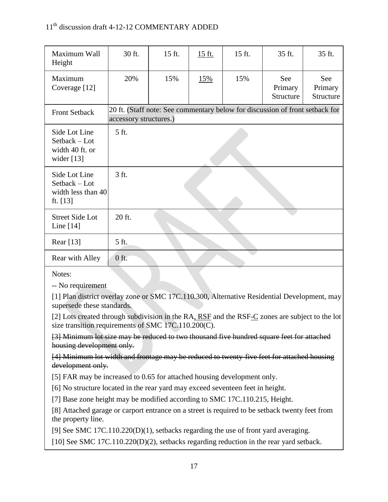| Maximum Wall<br>Height                                              | 30 ft.                                                                                                 | 15 ft. | 15 ft. | 15 ft. | 35 ft.                      | 35 ft.                      |
|---------------------------------------------------------------------|--------------------------------------------------------------------------------------------------------|--------|--------|--------|-----------------------------|-----------------------------|
| Maximum<br>Coverage [12]                                            | 20%                                                                                                    | 15%    | 15%    | 15%    | See<br>Primary<br>Structure | See<br>Primary<br>Structure |
| <b>Front Setback</b>                                                | 20 ft. (Staff note: See commentary below for discussion of front setback for<br>accessory structures.) |        |        |        |                             |                             |
| Side Lot Line<br>$Setback - Lot$<br>width 40 ft. or<br>wider $[13]$ | 5 ft.                                                                                                  |        |        |        |                             |                             |
| Side Lot Line<br>Setback - Lot<br>width less than 40<br>ft. $[13]$  | 3 ft.                                                                                                  |        |        |        |                             |                             |
| <b>Street Side Lot</b><br>Line $[14]$                               | 20 ft.                                                                                                 |        |        |        |                             |                             |
| Rear [13]                                                           | 5 ft.                                                                                                  |        |        |        |                             |                             |
| Rear with Alley                                                     | $0$ ft.                                                                                                |        |        |        |                             |                             |

Notes:

-- No requirement

[1] Plan district overlay zone or SMC 17C.110.300, Alternative Residential Development, may supersede these standards.

[2] Lots created through subdivision in the RA, RSF and the RSF-C zones are subject to the lot size transition requirements of SMC 17C.110.200(C).

[3] Minimum lot size may be reduced to two thousand five hundred square feet for attached housing development only.

[4] Minimum lot width and frontage may be reduced to twenty-five feet for attached housing development only.

[5] FAR may be increased to 0.65 for attached housing development only.

[6] No structure located in the rear yard may exceed seventeen feet in height.

[7] Base zone height may be modified according to SMC 17C.110.215, Height.

[8] Attached garage or carport entrance on a street is required to be setback twenty feet from the property line.

[9] See SMC 17C.110.220(D)(1), setbacks regarding the use of front yard averaging.

[10] See SMC 17C.110.220(D)(2), setbacks regarding reduction in the rear yard setback.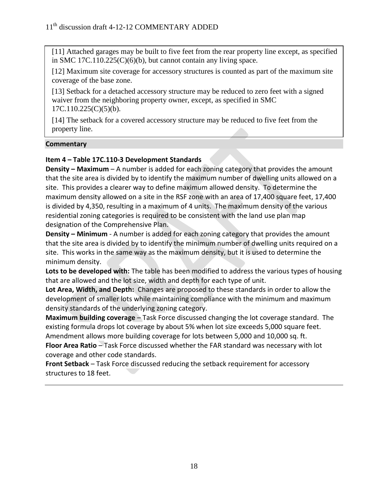[11] Attached garages may be built to five feet from the rear property line except, as specified in SMC 17C.110.225(C)(6)(b), but cannot contain any living space.

[12] Maximum site coverage for accessory structures is counted as part of the maximum site coverage of the base zone.

[13] Setback for a detached accessory structure may be reduced to zero feet with a signed waiver from the neighboring property owner, except, as specified in SMC  $17C.110.225(C)(5)(b)$ .

[14] The setback for a covered accessory structure may be reduced to five feet from the property line.

## **Commentary**

## **Item 4 – Table 17C.110-3 Development Standards**

**Density – Maximum** – A number is added for each zoning category that provides the amount that the site area is divided by to identify the maximum number of dwelling units allowed on a site. This provides a clearer way to define maximum allowed density. To determine the maximum density allowed on a site in the RSF zone with an area of 17,400 square feet, 17,400 is divided by 4,350, resulting in a maximum of 4 units. The maximum density of the various residential zoning categories is required to be consistent with the land use plan map designation of the Comprehensive Plan.

**Density – Minimum** - A number is added for each zoning category that provides the amount that the site area is divided by to identify the minimum number of dwelling units required on a site. This works in the same way as the maximum density, but it is used to determine the minimum density.

**Lots to be developed with:** The table has been modified to address the various types of housing that are allowed and the lot size, width and depth for each type of unit.

**Lot Area, Width, and Depth:** Changes are proposed to these standards in order to allow the development of smaller lots while maintaining compliance with the minimum and maximum density standards of the underlying zoning category.

**Maximum building coverage** – Task Force discussed changing the lot coverage standard. The existing formula drops lot coverage by about 5% when lot size exceeds 5,000 square feet. Amendment allows more building coverage for lots between 5,000 and 10,000 sq. ft.

**Floor Area Ratio** – Task Force discussed whether the FAR standard was necessary with lot coverage and other code standards.

**Front Setback** – Task Force discussed reducing the setback requirement for accessory structures to 18 feet.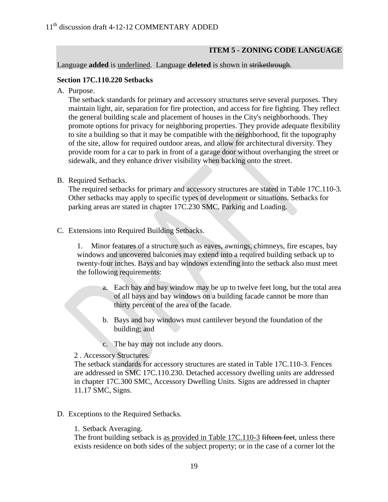## **ITEM 5 - ZONING CODE LANGUAGE**

#### Language **added** is underlined. Language **deleted** is shown in strikethrough.

#### **Section 17C.110.220 Setbacks**

A. Purpose.

The setback standards for primary and accessory structures serve several purposes. They maintain light, air, separation for fire protection, and access for fire fighting. They reflect the general building scale and placement of houses in the City's neighborhoods. They promote options for privacy for neighboring properties. They provide adequate flexibility to site a building so that it may be compatible with the neighborhood, fit the topography of the site, allow for required outdoor areas, and allow for architectural diversity. They provide room for a car to park in front of a garage door without overhanging the street or sidewalk, and they enhance driver visibility when backing onto the street.

B. Required Setbacks.

The required setbacks for primary and accessory structures are stated in Table 17C.110-3. Other setbacks may apply to specific types of development or situations. Setbacks for parking areas are stated in chapter 17C.230 SMC, Parking and Loading.

C. Extensions into Required Building Setbacks.

1. Minor features of a structure such as eaves, awnings, chimneys, fire escapes, bay windows and uncovered balconies may extend into a required building setback up to twenty-four inches. Bays and bay windows extending into the setback also must meet the following requirements:

- a. Each bay and bay window may be up to twelve feet long, but the total area of all bays and bay windows on a building facade cannot be more than thirty percent of the area of the facade.
- b. Bays and bay windows must cantilever beyond the foundation of the building; and
- c. The bay may not include any doors.

2 . Accessory Structures.

The setback standards for accessory structures are stated in Table 17C.110-3. Fences are addressed in SMC 17C.110.230. Detached accessory dwelling units are addressed in chapter 17C.300 SMC, Accessory Dwelling Units. Signs are addressed in chapter 11.17 SMC, Signs.

D. Exceptions to the Required Setbacks.

1. Setback Averaging.

The front building setback is as provided in Table 17C.110-3 fifteen feet, unless there exists residence on both sides of the subject property; or in the case of a corner lot the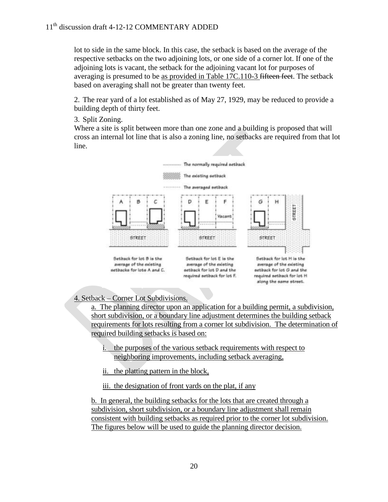lot to side in the same block. In this case, the setback is based on the average of the respective setbacks on the two adjoining lots, or one side of a corner lot. If one of the adjoining lots is vacant, the setback for the adjoining vacant lot for purposes of averaging is presumed to be as provided in Table 17C.110-3 fifteen feet. The setback based on averaging shall not be greater than twenty feet.

2. The rear yard of a lot established as of May 27, 1929, may be reduced to provide a building depth of thirty feet.

3. Split Zoning.

Where a site is split between more than one zone and a building is proposed that will cross an internal lot line that is also a zoning line, no setbacks are required from that lot line.



## 4. Setback – Corner Lot Subdivisions.

a. The planning director upon an application for a building permit, a subdivision, short subdivision, or a boundary line adjustment determines the building setback requirements for lots resulting from a corner lot subdivision. The determination of required building setbacks is based on:

- i. the purposes of the various setback requirements with respect to neighboring improvements, including setback averaging,
- ii. the platting pattern in the block,

iii. the designation of front yards on the plat, if any

b. In general, the building setbacks for the lots that are created through a subdivision, short subdivision, or a boundary line adjustment shall remain consistent with building setbacks as required prior to the corner lot subdivision. The figures below will be used to guide the planning director decision.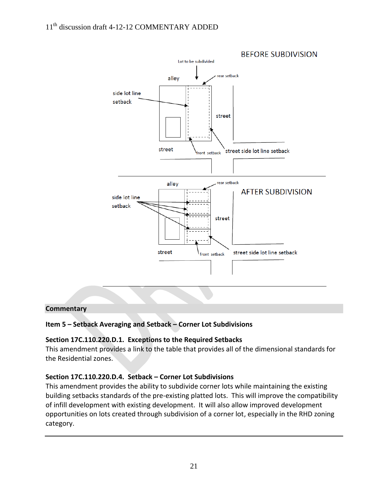

#### **Commentary**

## **Item 5 – Setback Averaging and Setback – Corner Lot Subdivisions**

#### **Section 17C.110.220.D.1. Exceptions to the Required Setbacks**

This amendment provides a link to the table that provides all of the dimensional standards for the Residential zones.

#### **Section 17C.110.220.D.4. Setback – Corner Lot Subdivisions**

This amendment provides the ability to subdivide corner lots while maintaining the existing building setbacks standards of the pre-existing platted lots. This will improve the compatibility of infill development with existing development. It will also allow improved development opportunities on lots created through subdivision of a corner lot, especially in the RHD zoning category.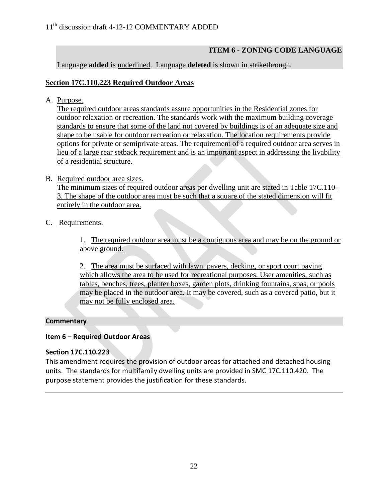# **ITEM 6 - ZONING CODE LANGUAGE**

Language **added** is underlined. Language **deleted** is shown in strikethrough.

## **Section 17C.110.223 Required Outdoor Areas**

A. Purpose.

The required outdoor areas standards assure opportunities in the Residential zones for outdoor relaxation or recreation. The standards work with the maximum building coverage standards to ensure that some of the land not covered by buildings is of an adequate size and shape to be usable for outdoor recreation or relaxation. The location requirements provide options for private or semiprivate areas. The requirement of a required outdoor area serves in lieu of a large rear setback requirement and is an important aspect in addressing the livability of a residential structure.

## B. Required outdoor area sizes.

The minimum sizes of required outdoor areas per dwelling unit are stated in Table 17C.110- 3. The shape of the outdoor area must be such that a square of the stated dimension will fit entirely in the outdoor area.

## C. Requirements.

1. The required outdoor area must be a contiguous area and may be on the ground or above ground.

2. The area must be surfaced with lawn, pavers, decking, or sport court paving which allows the area to be used for recreational purposes. User amenities, such as tables, benches, trees, planter boxes, garden plots, drinking fountains, spas, or pools may be placed in the outdoor area. It may be covered, such as a covered patio, but it may not be fully enclosed area.

## **Commentary**

## **Item 6 – Required Outdoor Areas**

## **Section 17C.110.223**

This amendment requires the provision of outdoor areas for attached and detached housing units. The standards for multifamily dwelling units are provided in SMC 17C.110.420. The purpose statement provides the justification for these standards.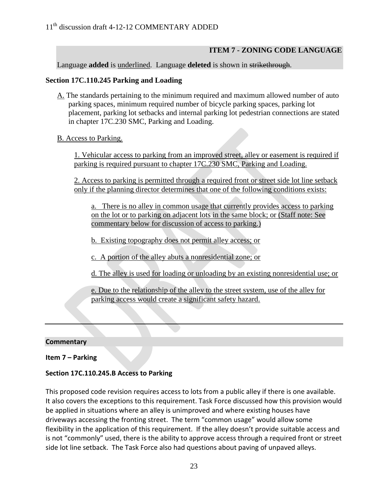## **ITEM 7 - ZONING CODE LANGUAGE**

#### Language **added** is underlined. Language **deleted** is shown in strikethrough.

#### **Section 17C.110.245 Parking and Loading**

- A. The standards pertaining to the minimum required and maximum allowed number of auto parking spaces, minimum required number of bicycle parking spaces, parking lot placement, parking lot setbacks and internal parking lot pedestrian connections are stated in chapter 17C.230 SMC, Parking and Loading.
- B. Access to Parking.

1. Vehicular access to parking from an improved street, alley or easement is required if parking is required pursuant to chapter 17C.230 SMC, Parking and Loading.

2. Access to parking is permitted through a required front or street side lot line setback only if the planning director determines that one of the following conditions exists:

a. There is no alley in common usage that currently provides access to parking on the lot or to parking on adjacent lots in the same block; or (Staff note: See commentary below for discussion of access to parking.)

b. Existing topography does not permit alley access; or

c. A portion of the alley abuts a nonresidential zone; or

d. The alley is used for loading or unloading by an existing nonresidential use; or

e. Due to the relationship of the alley to the street system, use of the alley for parking access would create a significant safety hazard.

#### **Commentary**

**Item 7 – Parking** 

#### **Section 17C.110.245.B Access to Parking**

This proposed code revision requires access to lots from a public alley if there is one available. It also covers the exceptions to this requirement. Task Force discussed how this provision would be applied in situations where an alley is unimproved and where existing houses have driveways accessing the fronting street. The term "common usage" would allow some flexibility in the application of this requirement. If the alley doesn't provide suitable access and is not "commonly" used, there is the ability to approve access through a required front or street side lot line setback. The Task Force also had questions about paving of unpaved alleys.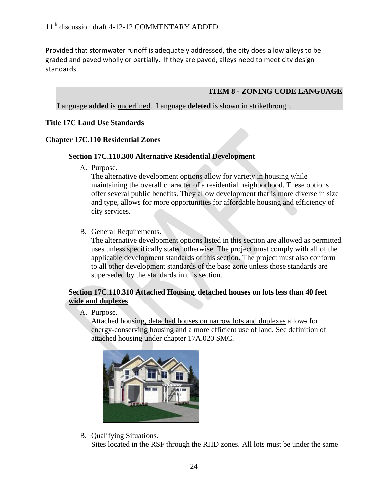Provided that stormwater runoff is adequately addressed, the city does allow alleys to be graded and paved wholly or partially. If they are paved, alleys need to meet city design standards.

#### **ITEM 8 - ZONING CODE LANGUAGE**

Language **added** is underlined. Language **deleted** is shown in strikethrough.

#### **Title 17C Land Use Standards**

#### **Chapter 17C.110 Residential Zones**

#### **Section 17C.110.300 Alternative Residential Development**

A. Purpose.

The alternative development options allow for variety in housing while maintaining the overall character of a residential neighborhood. These options offer several public benefits. They allow development that is more diverse in size and type, allows for more opportunities for affordable housing and efficiency of city services.

B. General Requirements.

The alternative development options listed in this section are allowed as permitted uses unless specifically stated otherwise. The project must comply with all of the applicable development standards of this section. The project must also conform to all other development standards of the base zone unless those standards are superseded by the standards in this section.

#### **Section 17C.110.310 Attached Housing, detached houses on lots less than 40 feet wide and duplexes**

A. Purpose.

Attached housing, detached houses on narrow lots and duplexes allows for energy-conserving housing and a more efficient use of land. See definition of attached housing under chapter 17A.020 SMC.



B. Qualifying Situations.

Sites located in the RSF through the RHD zones. All lots must be under the same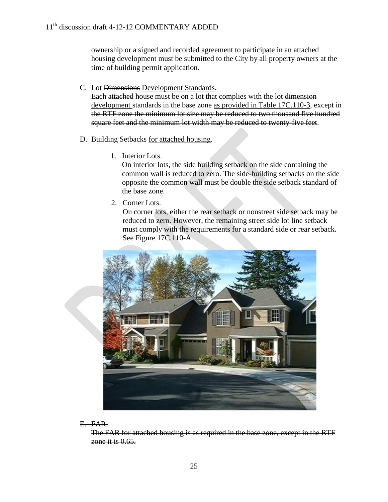ownership or a signed and recorded agreement to participate in an attached housing development must be submitted to the City by all property owners at the time of building permit application.

C. Lot Dimensions Development Standards.

Each attached house must be on a lot that complies with the lot dimension development standards in the base zone as provided in Table 17C.110-3, except in the RTF zone the minimum lot size may be reduced to two thousand five hundred square feet and the minimum lot width may be reduced to twenty-five feet.

- D. Building Setbacks for attached housing.
	- 1. Interior Lots.

On interior lots, the side building setback on the side containing the common wall is reduced to zero. The side-building setbacks on the side opposite the common wall must be double the side setback standard of the base zone.

2. Corner Lots.

On corner lots, either the rear setback or nonstreet side setback may be reduced to zero. However, the remaining street side lot line setback must comply with the requirements for a standard side or rear setback. See Figure 17C.110-A.



#### E. FAR.

The FAR for attached housing is as required in the base zone, except in the RTF zone it is  $0.65$ .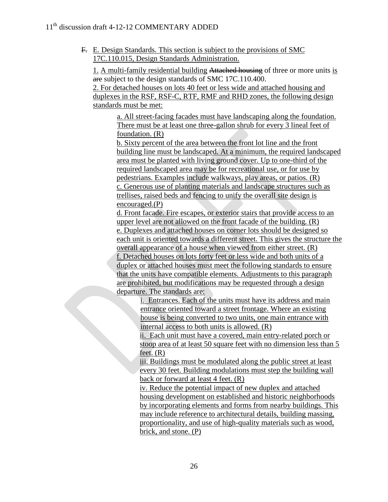F. E. Design Standards. This section is subject to the provisions of SMC 17C.110.015, Design Standards Administration.

1. A multi-family residential building Attached housing of three or more units is are subject to the design standards of SMC 17C.110.400.

2. For detached houses on lots 40 feet or less wide and attached housing and duplexes in the RSF, RSF-C, RTF, RMF and RHD zones, the following design standards must be met:

a. All street-facing facades must have landscaping along the foundation. There must be at least one three-gallon shrub for every 3 lineal feet of foundation. (R)

b. Sixty percent of the area between the front lot line and the front building line must be landscaped. At a minimum, the required landscaped area must be planted with living ground cover. Up to one-third of the required landscaped area may be for recreational use, or for use by pedestrians. Examples include walkways, play areas, or patios. (R) c. Generous use of planting materials and landscape structures such as trellises, raised beds and fencing to unify the overall site design is encouraged.(P)

d. Front facade. Fire escapes, or exterior stairs that provide access to an upper level are not allowed on the front facade of the building. (R) e. Duplexes and attached houses on corner lots should be designed so each unit is oriented towards a different street. This gives the structure the overall appearance of a house when viewed from either street. (R) f. Detached houses on lots forty feet or less wide and both units of a duplex or attached houses must meet the following standards to ensure that the units have compatible elements. Adjustments to this paragraph are prohibited, but modifications may be requested through a design departure. The standards are:

i. Entrances. Each of the units must have its address and main entrance oriented toward a street frontage. Where an existing house is being converted to two units, one main entrance with internal access to both units is allowed. (R)

ii. Each unit must have a covered, main entry-related porch or stoop area of at least 50 square feet with no dimension less than 5 feet.  $(R)$ 

iii. Buildings must be modulated along the public street at least every 30 feet. Building modulations must step the building wall back or forward at least 4 feet. (R)

iv. Reduce the potential impact of new duplex and attached housing development on established and historic neighborhoods by incorporating elements and forms from nearby buildings. This may include reference to architectural details, building massing, proportionality, and use of high-quality materials such as wood, brick, and stone. (P)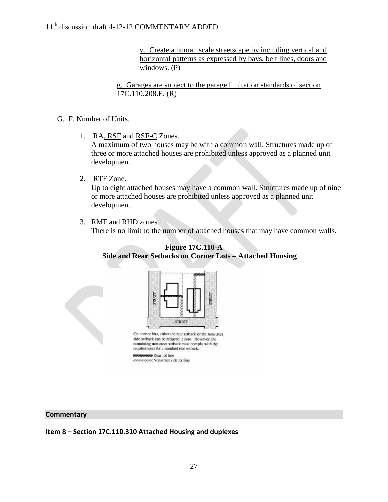v. Create a human scale streetscape by including vertical and horizontal patterns as expressed by bays, belt lines, doors and windows. (P)

g. Garages are subject to the garage limitation standards of section 17C.110.208.E. (R)

## G. F. Number of Units.

1. RA, RSF and RSF-C Zones.

A maximum of two houses may be with a common wall. Structures made up of three or more attached houses are prohibited unless approved as a planned unit development.

2. RTF Zone.

Up to eight attached houses may have a common wall. Structures made up of nine or more attached houses are prohibited unless approved as a planned unit development.

3. RMF and RHD zones.

There is no limit to the number of attached houses that may have common walls.



## **Figure 17C.110-A Side and Rear Setbacks on Corner Lots – Attached Housing**

## **Commentary**

**Item 8 – Section 17C.110.310 Attached Housing and duplexes**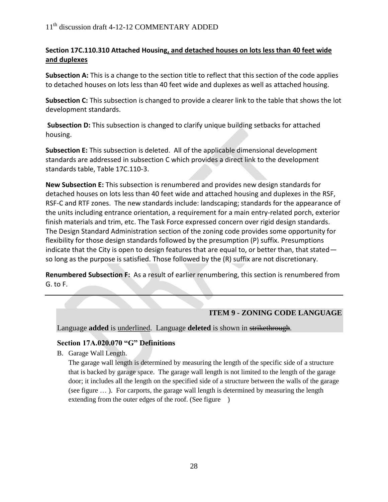## **Section 17C.110.310 Attached Housing, and detached houses on lots less than 40 feet wide and duplexes**

Subsection A: This is a change to the section title to reflect that this section of the code applies to detached houses on lots less than 40 feet wide and duplexes as well as attached housing.

**Subsection C:** This subsection is changed to provide a clearer link to the table that shows the lot development standards.

**Subsection D:** This subsection is changed to clarify unique building setbacks for attached housing.

**Subsection E:** This subsection is deleted. All of the applicable dimensional development standards are addressed in subsection C which provides a direct link to the development standards table, Table 17C.110-3.

**New Subsection E:** This subsection is renumbered and provides new design standards for detached houses on lots less than 40 feet wide and attached housing and duplexes in the RSF, RSF-C and RTF zones. The new standards include: landscaping; standards for the appearance of the units including entrance orientation, a requirement for a main entry-related porch, exterior finish materials and trim, etc. The Task Force expressed concern over rigid design standards. The Design Standard Administration section of the zoning code provides some opportunity for flexibility for those design standards followed by the presumption (P) suffix. Presumptions indicate that the City is open to design features that are equal to, or better than, that stated so long as the purpose is satisfied. Those followed by the (R) suffix are not discretionary.

**Renumbered Subsection F:** As a result of earlier renumbering, this section is renumbered from G. to F.

# **ITEM 9 - ZONING CODE LANGUAGE**

Language **added** is underlined. Language **deleted** is shown in strikethrough.

## **Section 17A.020.070 "G" Definitions**

B. Garage Wall Length.

The garage wall length is determined by measuring the length of the specific side of a structure that is backed by garage space. The garage wall length is not limited to the length of the garage door; it includes all the length on the specified side of a structure between the walls of the garage (see figure … ). For carports, the garage wall length is determined by measuring the length extending from the outer edges of the roof. (See figure )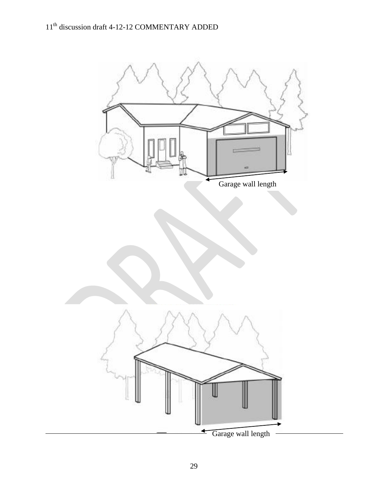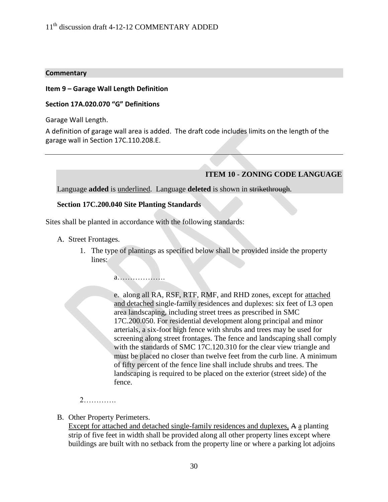#### **Commentary**

#### **Item 9 – Garage Wall Length Definition**

#### **Section 17A.020.070 "G" Definitions**

Garage Wall Length.

A definition of garage wall area is added. The draft code includes limits on the length of the garage wall in Section 17C.110.208.E.

#### **ITEM 10 - ZONING CODE LANGUAGE**

Language **added** is underlined. Language **deleted** is shown in strikethrough.

#### **Section 17C.200.040 Site Planting Standards**

Sites shall be planted in accordance with the following standards:

- A. Street Frontages.
	- 1. The type of plantings as specified below shall be provided inside the property lines:

a……………….

e. along all RA, RSF, RTF, RMF, and RHD zones, except for attached and detached single-family residences and duplexes: six feet of L3 open area landscaping, including street trees as prescribed in SMC 17C.200.050. For residential development along principal and minor arterials, a six-foot high fence with shrubs and trees may be used for screening along street frontages. The fence and landscaping shall comply with the standards of SMC 17C.120.310 for the clear view triangle and must be placed no closer than twelve feet from the curb line. A minimum of fifty percent of the fence line shall include shrubs and trees. The landscaping is required to be placed on the exterior (street side) of the fence.

2………….

B. Other Property Perimeters.

Except for attached and detached single-family residences and duplexes, A a planting strip of five feet in width shall be provided along all other property lines except where buildings are built with no setback from the property line or where a parking lot adjoins